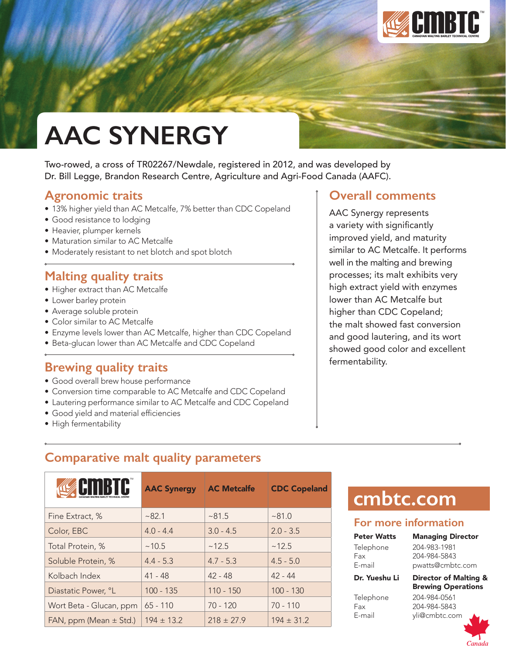

# **AAC SYNERGY**

Two-rowed, a cross of TR02267/Newdale, registered in 2012, and was developed by Dr. Bill Legge, Brandon Research Centre, Agriculture and Agri-Food Canada (AAFC).

## **Agronomic traits**

- 13% higher yield than AC Metcalfe, 7% better than CDC Copeland
- Good resistance to lodging
- Heavier, plumper kernels
- Maturation similar to AC Metcalfe
- Moderately resistant to net blotch and spot blotch

## **Malting quality traits**

- Higher extract than AC Metcalfe
- Lower barley protein
- Average soluble protein
- Color similar to AC Metcalfe
- Enzyme levels lower than AC Metcalfe, higher than CDC Copeland
- Beta-glucan lower than AC Metcalfe and CDC Copeland

### **Brewing quality traits**

- Good overall brew house performance
- Conversion time comparable to AC Metcalfe and CDC Copeland
- Lautering performance similar to AC Metcalfe and CDC Copeland
- • Good yield and material efficiencies
- High fermentability

### **Overall comments**

AAC Synergy represents a variety with significantly improved yield, and maturity similar to AC Metcalfe. It performs well in the malting and brewing processes; its malt exhibits very high extract yield with enzymes lower than AC Metcalfe but higher than CDC Copeland; the malt showed fast conversion and good lautering, and its wort showed good color and excellent fermentability.

## **Comparative malt quality parameters**

|                            | <b>AAC Synergy</b> | <b>AC Metcalfe</b> | <b>CDC Copeland</b> |
|----------------------------|--------------------|--------------------|---------------------|
| Fine Extract, %            | ~282.1             | ~81.5              | ~81.0               |
| Color, EBC                 | $4.0 - 4.4$        | $3.0 - 4.5$        | $2.0 - 3.5$         |
| Total Protein, %           | ~10.5              | ~12.5              | ~12.5               |
| Soluble Protein, %         | $4.4 - 5.3$        | $4.7 - 5.3$        | $4.5 - 5.0$         |
| Kolbach Index              | $41 - 48$          | $42 - 48$          | $42 - 44$           |
| Diastatic Power, °L        | $100 - 135$        | $110 - 150$        | $100 - 130$         |
| Wort Beta - Glucan, ppm    | $65 - 110$         | $70 - 120$         | $70 - 110$          |
| FAN, ppm (Mean $\pm$ Std.) | $194 \pm 13.2$     | $218 \pm 27.9$     | $194 \pm 31.2$      |

## **cmbtc.com**

#### **For more information**

| <b>Peter Watts</b> | <b>Managing Director</b>                           |
|--------------------|----------------------------------------------------|
| Telephone          | 204-983-1981                                       |
| Fax                | 204-984-5843                                       |
| E-mail             | pwatts@cmbtc.com                                   |
| Dr. Yueshu Li      | Director of Malting &<br><b>Brewing Operations</b> |
| Telephone          | 204-984-0561                                       |

Fax 204-984-5843 E-mail yli@cmbtc.com

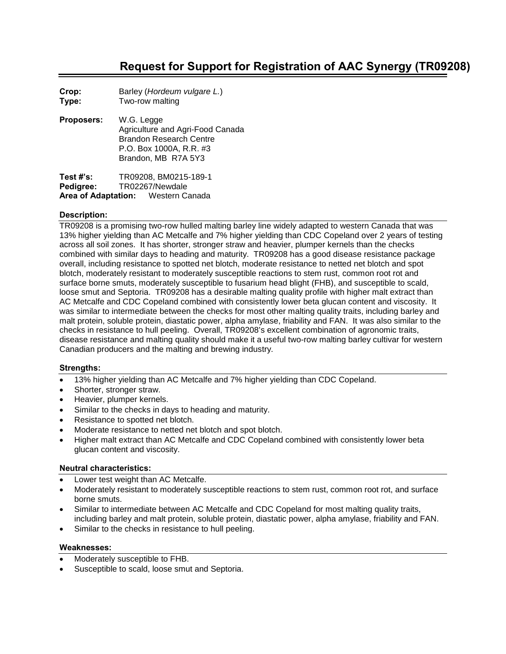## **Request for Support for Registration of AAC Synergy (TR09208)**

**Crop:** Barley (*Hordeum vulgare L.*) **Type:** Two-row malting

**Proposers:** W.G. Legge Agriculture and Agri-Food Canada Brandon Research Centre P.O. Box 1000A, R.R. #3 Brandon, MB R7A 5Y3

**Test #'s:** TR09208, BM0215-189-1 **Pedigree:** TR02267/Newdale **Area of Adaptation:** Western Canada

#### **Description:**

TR09208 is a promising two-row hulled malting barley line widely adapted to western Canada that was 13% higher yielding than AC Metcalfe and 7% higher yielding than CDC Copeland over 2 years of testing across all soil zones. It has shorter, stronger straw and heavier, plumper kernels than the checks combined with similar days to heading and maturity. TR09208 has a good disease resistance package overall, including resistance to spotted net blotch, moderate resistance to netted net blotch and spot blotch, moderately resistant to moderately susceptible reactions to stem rust, common root rot and surface borne smuts, moderately susceptible to fusarium head blight (FHB), and susceptible to scald, loose smut and Septoria. TR09208 has a desirable malting quality profile with higher malt extract than AC Metcalfe and CDC Copeland combined with consistently lower beta glucan content and viscosity. It was similar to intermediate between the checks for most other malting quality traits, including barley and malt protein, soluble protein, diastatic power, alpha amylase, friability and FAN. It was also similar to the checks in resistance to hull peeling. Overall, TR09208's excellent combination of agronomic traits, disease resistance and malting quality should make it a useful two-row malting barley cultivar for western Canadian producers and the malting and brewing industry.

#### **Strengths:**

- 13% higher yielding than AC Metcalfe and 7% higher yielding than CDC Copeland.
- Shorter, stronger straw.
- Heavier, plumper kernels.
- Similar to the checks in days to heading and maturity.
- Resistance to spotted net blotch.
- Moderate resistance to netted net blotch and spot blotch.
- Higher malt extract than AC Metcalfe and CDC Copeland combined with consistently lower beta glucan content and viscosity.

#### **Neutral characteristics:**

- Lower test weight than AC Metcalfe.
- Moderately resistant to moderately susceptible reactions to stem rust, common root rot, and surface borne smuts.
- Similar to intermediate between AC Metcalfe and CDC Copeland for most malting quality traits, including barley and malt protein, soluble protein, diastatic power, alpha amylase, friability and FAN.
- Similar to the checks in resistance to hull peeling.

#### **Weaknesses:**

- Moderately susceptible to FHB.
- Susceptible to scald, loose smut and Septoria.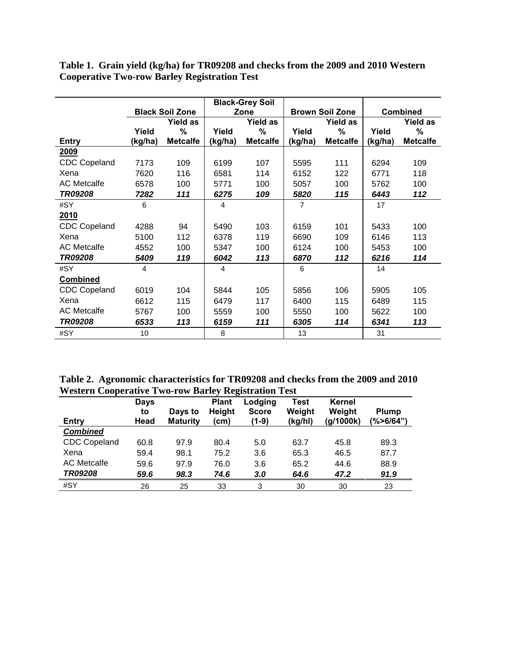|                     |         |                        |                | <b>Black-Grey Soil</b> |                |                        |         |                 |
|---------------------|---------|------------------------|----------------|------------------------|----------------|------------------------|---------|-----------------|
|                     |         | <b>Black Soil Zone</b> |                | Zone                   |                | <b>Brown Soil Zone</b> |         | <b>Combined</b> |
|                     |         | <b>Yield as</b>        |                | <b>Yield as</b>        |                | <b>Yield as</b>        |         | <b>Yield as</b> |
|                     | Yield   | $\%$                   | Yield          | %                      | Yield          | %                      | Yield   | %               |
| Entry               | (kg/ha) | <b>Metcalfe</b>        | (kg/ha)        | <b>Metcalfe</b>        | (kg/ha)        | <b>Metcalfe</b>        | (kg/ha) | <b>Metcalfe</b> |
| 2009                |         |                        |                |                        |                |                        |         |                 |
| <b>CDC Copeland</b> | 7173    | 109                    | 6199           | 107                    | 5595           | 111                    | 6294    | 109             |
| Xena                | 7620    | 116                    | 6581           | 114                    | 6152           | 122                    | 6771    | 118             |
| <b>AC Metcalfe</b>  | 6578    | 100                    | 5771           | 100                    | 5057           | 100                    | 5762    | 100             |
| <b>TR09208</b>      | 7282    | 111                    | 6275           | 109                    | 5820           | 115                    | 6443    | 112             |
| #SY                 | 6       |                        | 4              |                        | $\overline{7}$ |                        | 17      |                 |
| 2010                |         |                        |                |                        |                |                        |         |                 |
| <b>CDC Copeland</b> | 4288    | 94                     | 5490           | 103                    | 6159           | 101                    | 5433    | 100             |
| Xena                | 5100    | 112                    | 6378           | 119                    | 6690           | 109                    | 6146    | 113             |
| <b>AC Metcalfe</b>  | 4552    | 100                    | 5347           | 100                    | 6124           | 100                    | 5453    | 100             |
| TR09208             | 5409    | 119                    | 6042           | 113                    | 6870           | 112                    | 6216    | 114             |
| #SY                 | 4       |                        | $\overline{4}$ |                        | 6              |                        | 14      |                 |
| <b>Combined</b>     |         |                        |                |                        |                |                        |         |                 |
| <b>CDC Copeland</b> | 6019    | 104                    | 5844           | 105                    | 5856           | 106                    | 5905    | 105             |
| Xena                | 6612    | 115                    | 6479           | 117                    | 6400           | 115                    | 6489    | 115             |
| <b>AC Metcalfe</b>  | 5767    | 100                    | 5559           | 100                    | 5550           | 100                    | 5622    | 100             |
| TR09208             | 6533    | 113                    | 6159           | 111                    | 6305           | 114                    | 6341    | 113             |
| #SY                 | 10      |                        | 8              |                        | 13             |                        | 31      |                 |

**Table 1. Grain yield (kg/ha) for TR09208 and checks from the 2009 and 2010 Western Cooperative Two-row Barley Registration Test**

**Table 2. Agronomic characteristics for TR09208 and checks from the 2009 and 2010 Western Cooperative Two-row Barley Registration Test**

| Entry               | <b>Days</b><br>to<br>Head | Days to<br><b>Maturity</b> | <b>Plant</b><br><b>Height</b><br>(cm) | Lodging<br><b>Score</b><br>(1-9) | Test<br>Weight<br>(kg/hl) | Kernel<br>Weight<br>(g/1000k) | <b>Plump</b><br>$(\% > 6/64")$ |
|---------------------|---------------------------|----------------------------|---------------------------------------|----------------------------------|---------------------------|-------------------------------|--------------------------------|
| <b>Combined</b>     |                           |                            |                                       |                                  |                           |                               |                                |
| <b>CDC Copeland</b> | 60.8                      | 97.9                       | 80.4                                  | 5.0                              | 63.7                      | 45.8                          | 89.3                           |
| Xena                | 59.4                      | 98.1                       | 75.2                                  | 3.6                              | 65.3                      | 46.5                          | 87.7                           |
| <b>AC Metcalfe</b>  | 59.6                      | 97.9                       | 76.0                                  | 3.6                              | 65.2                      | 44.6                          | 88.9                           |
| TR09208             | 59.6                      | 98.3                       | 74.6                                  | 3.0                              | 64.6                      | 47.2                          | 91.9                           |
| #SY                 | 26                        | 25                         | 33                                    | 3                                | 30                        | 30                            | 23                             |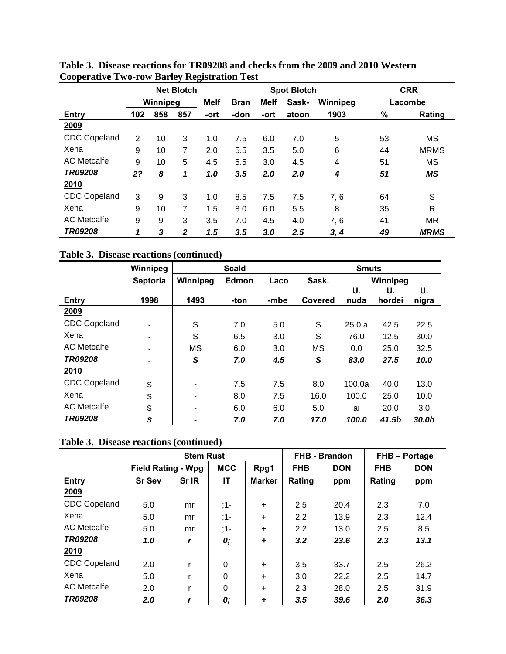|                     |                |          | <b>Net Blotch</b> |             | <b>Spot Blotch</b> |      |       | <b>CRR</b> |      |             |
|---------------------|----------------|----------|-------------------|-------------|--------------------|------|-------|------------|------|-------------|
|                     |                | Winnipeg |                   | <b>Melf</b> | <b>Bran</b>        | Melf | Sask- | Winnipeg   |      | Lacombe     |
| Entry               | 102            | 858      | 857               | -ort        | -don               | -ort | atoon | 1903       | $\%$ | Rating      |
| 2009                |                |          |                   |             |                    |      |       |            |      |             |
| CDC Copeland        | $\overline{2}$ | 10       | 3                 | 1.0         | 7.5                | 6.0  | 7.0   | 5          | 53   | <b>MS</b>   |
| Xena                | 9              | 10       | 7                 | 2.0         | 5.5                | 3.5  | 5.0   | 6          | 44   | <b>MRMS</b> |
| <b>AC</b> Metcalfe  | 9              | 10       | 5                 | 4.5         | 5.5                | 3.0  | 4.5   | 4          | 51   | MS          |
| <b>TR09208</b>      | 2?             | 8        | 1                 | 1.0         | 3.5                | 2.0  | 2.0   | 4          | 51   | <b>MS</b>   |
| 2010                |                |          |                   |             |                    |      |       |            |      |             |
| <b>CDC Copeland</b> | 3              | 9        | 3                 | 1.0         | 8.5                | 7.5  | 7.5   | 7, 6       | 64   | S           |
| Xena                | 9              | 10       | 7                 | 1.5         | 8.0                | 6.0  | 5.5   | 8          | 35   | R           |
| <b>AC</b> Metcalfe  | 9              | 9        | 3                 | 3.5         | 7.0                | 4.5  | 4.0   | 7, 6       | 41   | <b>MR</b>   |
| TR09208             | 1              | 3        | $\mathbf{2}$      | 1.5         | 3.5                | 3.0  | 2.5   | 3, 4       | 49   | <b>MRMS</b> |

**Table 3. Disease reactions for TR09208 and checks from the 2009 and 2010 Western Cooperative Two-row Barley Registration Test**

**Table 3. Disease reactions (continued)**

|                     | Winnipeg        |                          | <b>Scald</b> |      | <b>Smuts</b> |        |          |       |
|---------------------|-----------------|--------------------------|--------------|------|--------------|--------|----------|-------|
|                     | <b>Septoria</b> | Winnipeg                 | Edmon        | Laco | Sask.        |        | Winnipeg |       |
|                     |                 |                          |              |      |              | U.     | U.       | U.    |
| Entry               | 1998            | 1493                     | -ton         | -mbe | Covered      | nuda   | hordei   | nigra |
| 2009                |                 |                          |              |      |              |        |          |       |
| <b>CDC Copeland</b> |                 | S                        | 7.0          | 5.0  | S            | 25.0a  | 42.5     | 22.5  |
| Xena                |                 | S                        | 6.5          | 3.0  | S            | 76.0   | 12.5     | 30.0  |
| <b>AC Metcalfe</b>  |                 | <b>MS</b>                | 6.0          | 3.0  | <b>MS</b>    | 0.0    | 25.0     | 32.5  |
| <b>TR09208</b>      |                 | S                        | 7.0          | 4.5  | S            | 83.0   | 27.5     | 10.0  |
| 2010                |                 |                          |              |      |              |        |          |       |
| <b>CDC Copeland</b> | S               | -                        | 7.5          | 7.5  | 8.0          | 100.0a | 40.0     | 13.0  |
| Xena                | S               | $\overline{\phantom{0}}$ | 8.0          | 7.5  | 16.0         | 100.0  | 25.0     | 10.0  |
| <b>AC</b> Metcalfe  | S               | ۰                        | 6.0          | 6.0  | 5.0          | ai     | 20.0     | 3.0   |
| TR09208             | S               |                          | 7.0          | 7.0  | 17.0         | 100.0  | 41.5b    | 30.0b |

|  |  |  | Table 3. Disease reactions (continued) |
|--|--|--|----------------------------------------|
|--|--|--|----------------------------------------|

|                     |                           | <b>Stem Rust</b> |            |               |            | FHB - Brandon | <b>FHB-Portage</b> |            |
|---------------------|---------------------------|------------------|------------|---------------|------------|---------------|--------------------|------------|
|                     | <b>Field Rating - Wpg</b> |                  | <b>MCC</b> | Rpg1          | <b>FHB</b> | <b>DON</b>    | <b>FHB</b>         | <b>DON</b> |
| Entry               | <b>Sr Sev</b>             | Sr IR            | IT         | <b>Marker</b> | Rating     | ppm           | Rating             | ppm        |
| 2009                |                           |                  |            |               |            |               |                    |            |
| <b>CDC Copeland</b> | 5.0                       | mr               | ;1-        | $\ddot{}$     | 2.5        | 20.4          | 2.3                | 7.0        |
| Xena                | 5.0                       | mr               | ;1-        | $\ddot{}$     | 2.2        | 13.9          | 2.3                | 12.4       |
| <b>AC</b> Metcalfe  | 5.0                       | mr               | ;1-        | $\ddot{}$     | 2.2        | 13.0          | 2.5                | 8.5        |
| <b>TR09208</b>      | 1.0                       |                  | 0;         | ÷             | 3.2        | 23.6          | 2.3                | 13.1       |
| 2010                |                           |                  |            |               |            |               |                    |            |
| <b>CDC Copeland</b> | 2.0                       | r                | 0;         | $\ddot{}$     | 3.5        | 33.7          | 2.5                | 26.2       |
| Xena                | 5.0                       | r                | 0;         | $\ddot{}$     | 3.0        | 22.2          | 2.5                | 14.7       |
| <b>AC</b> Metcalfe  | 2.0                       | r                | 0;         | $\ddot{}$     | 2.3        | 28.0          | 2.5                | 31.9       |
| TR09208             | 2.0                       |                  | 0;         | ٠             | 3.5        | 39.6          | 2.0                | 36.3       |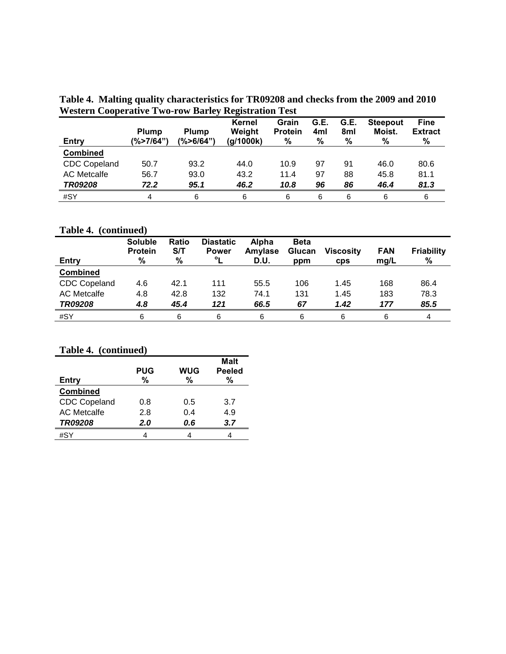**Table 4. Malting quality characteristics for TR09208 and checks from the 2009 and 2010 Western Cooperative Two-row Barley Registration Test**

| Entry               | <b>Plump</b><br>(%>7/64") | <b>Plump</b><br>(%>6/64") | $\bullet$<br>Kernel<br>Weight<br>(g/1000k) | Grain<br><b>Protein</b><br>$\%$ | G.E.<br>4ml<br>% | G.E.<br>8ml<br>% | <b>Steepout</b><br>Moist.<br>% | <b>Fine</b><br><b>Extract</b><br>℅ |
|---------------------|---------------------------|---------------------------|--------------------------------------------|---------------------------------|------------------|------------------|--------------------------------|------------------------------------|
| <b>Combined</b>     |                           |                           |                                            |                                 |                  |                  |                                |                                    |
| <b>CDC Copeland</b> | 50.7                      | 93.2                      | 44.0                                       | 10.9                            | 97               | 91               | 46.0                           | 80.6                               |
| <b>AC Metcalfe</b>  | 56.7                      | 93.0                      | 43.2                                       | 11.4                            | 97               | 88               | 45.8                           | 81.1                               |
| TR09208             | 72.2                      | 95.1                      | 46.2                                       | 10.8                            | 96               | 86               | 46.4                           | 81.3                               |
| #SY                 | 4                         | 6                         | 6                                          | 6                               | 6                | 6                | 6                              | 6                                  |

## **Table 4. (continued)**

|                     | <b>Soluble</b><br><b>Protein</b> | Ratio<br>S/T | <b>Diastatic</b><br><b>Power</b> | Alpha<br>Amylase | <b>Beta</b><br>Glucan | <b>Viscosity</b> | <b>FAN</b> | <b>Friability</b> |
|---------------------|----------------------------------|--------------|----------------------------------|------------------|-----------------------|------------------|------------|-------------------|
| <b>Entry</b>        | %                                | %            | $\mathbf{o}_{\mathbf{I}}$        | D.U.             | ppm                   | <b>CDS</b>       | mq/L       | %                 |
| <b>Combined</b>     |                                  |              |                                  |                  |                       |                  |            |                   |
| <b>CDC Copeland</b> | 4.6                              | 42.1         | 111                              | 55.5             | 106                   | 1.45             | 168        | 86.4              |
| <b>AC Metcalfe</b>  | 4.8                              | 42.8         | 132                              | 74.1             | 131                   | 1.45             | 183        | 78.3              |
| <b>TR09208</b>      | 4.8                              | 45.4         | 121                              | 66.5             | 67                    | 1.42             | 177        | 85.5              |
| #SY                 | 6                                | 6            | 6                                | 6                | 6                     | 6                | 6          | 4                 |

#### **Table 4. (continued)**

| Table 4. (continued) |                 |                 |                                   |  |  |  |  |  |  |
|----------------------|-----------------|-----------------|-----------------------------------|--|--|--|--|--|--|
| Entry                | <b>PUG</b><br>% | <b>WUG</b><br>% | <b>Malt</b><br><b>Peeled</b><br>% |  |  |  |  |  |  |
| <b>Combined</b>      |                 |                 |                                   |  |  |  |  |  |  |
| <b>CDC Copeland</b>  | 0.8             | 0.5             | 3.7                               |  |  |  |  |  |  |
| <b>AC Metcalfe</b>   | 2.8             | 0.4             | 4.9                               |  |  |  |  |  |  |
| <b>TR09208</b>       | 2.0             | 0.6             | 3.7                               |  |  |  |  |  |  |
| #SY                  |                 |                 |                                   |  |  |  |  |  |  |